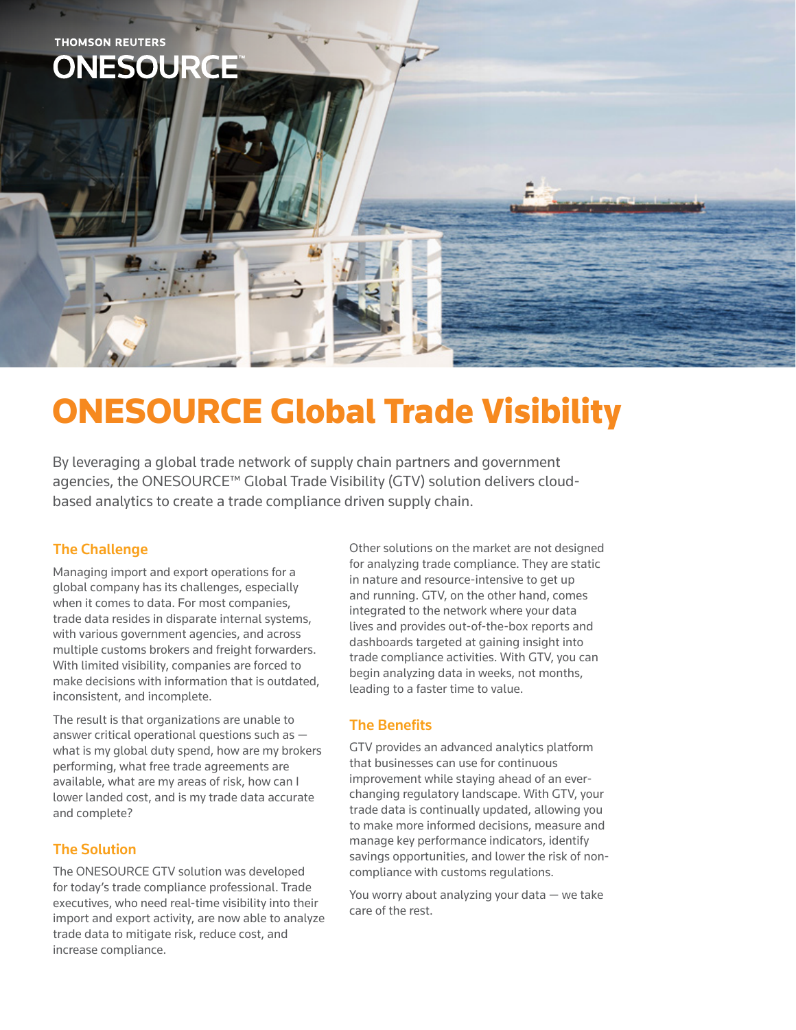

# ONESOURCE Global Trade Visibility

By leveraging a global trade network of supply chain partners and government agencies, the ONESOURCE™ Global Trade Visibility (GTV) solution delivers cloudbased analytics to create a trade compliance driven supply chain.

#### The Challenge

Managing import and export operations for a global company has its challenges, especially when it comes to data. For most companies, trade data resides in disparate internal systems, with various government agencies, and across multiple customs brokers and freight forwarders. With limited visibility, companies are forced to make decisions with information that is outdated, inconsistent, and incomplete.

The result is that organizations are unable to answer critical operational questions such as what is my global duty spend, how are my brokers performing, what free trade agreements are available, what are my areas of risk, how can I lower landed cost, and is my trade data accurate and complete?

#### The Solution

The ONESOURCE GTV solution was developed for today's trade compliance professional. Trade executives, who need real-time visibility into their import and export activity, are now able to analyze trade data to mitigate risk, reduce cost, and increase compliance.

Other solutions on the market are not designed for analyzing trade compliance. They are static in nature and resource-intensive to get up and running. GTV, on the other hand, comes integrated to the network where your data lives and provides out-of-the-box reports and dashboards targeted at gaining insight into trade compliance activities. With GTV, you can begin analyzing data in weeks, not months, leading to a faster time to value.

### The Benefits

GTV provides an advanced analytics platform that businesses can use for continuous improvement while staying ahead of an everchanging regulatory landscape. With GTV, your trade data is continually updated, allowing you to make more informed decisions, measure and manage key performance indicators, identify savings opportunities, and lower the risk of noncompliance with customs regulations.

You worry about analyzing your data — we take care of the rest.